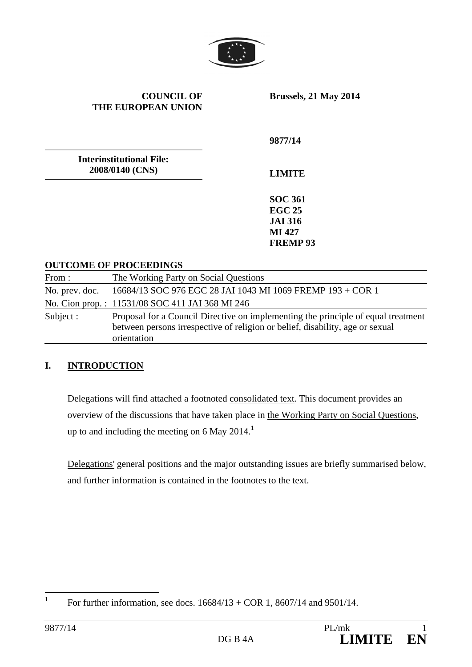

**COUNCIL OF THE EUROPEAN UNION**

**Brussels, 21 May 2014** 

**9877/14** 

**Interinstitutional File: 2008/0140 (CNS)** 

**LIMITE** 

**SOC 361 EGC 25 JAI 316 MI 427 FREMP 93** 

#### **OUTCOME OF PROCEEDINGS**

| From:          | The Working Party on Social Questions                                                                                                                                             |
|----------------|-----------------------------------------------------------------------------------------------------------------------------------------------------------------------------------|
| No. prev. doc. | 16684/13 SOC 976 EGC 28 JAI 1043 MI 1069 FREMP 193 + COR 1                                                                                                                        |
|                | No. Cion prop.: 11531/08 SOC 411 JAI 368 MI 246                                                                                                                                   |
| Subject :      | Proposal for a Council Directive on implementing the principle of equal treatment<br>between persons irrespective of religion or belief, disability, age or sexual<br>orientation |

#### **I. INTRODUCTION**

Delegations will find attached a footnoted consolidated text. This document provides an overview of the discussions that have taken place in the Working Party on Social Questions, up to and including the meeting on 6 May 2014.**<sup>1</sup>**

Delegations' general positions and the major outstanding issues are briefly summarised below, and further information is contained in the footnotes to the text.

 **1** For further information, see docs. 16684/13 + COR 1, 8607/14 and 9501/14.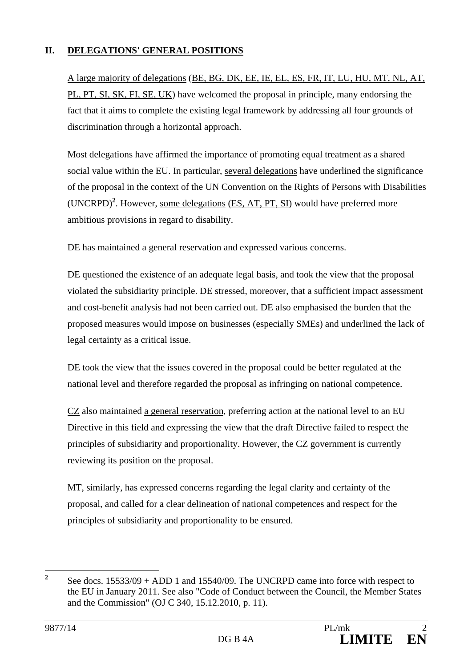#### **II. DELEGATIONS' GENERAL POSITIONS**

A large majority of delegations (BE, BG, DK, EE, IE, EL, ES, FR, IT, LU, HU, MT, NL, AT, PL, PT, SI, SK, FI, SE, UK) have welcomed the proposal in principle, many endorsing the fact that it aims to complete the existing legal framework by addressing all four grounds of discrimination through a horizontal approach.

Most delegations have affirmed the importance of promoting equal treatment as a shared social value within the EU. In particular, several delegations have underlined the significance of the proposal in the context of the UN Convention on the Rights of Persons with Disabilities (UNCRPD)<sup>2</sup>. However, <u>some delegations</u> (ES, AT, PT, SI) would have preferred more ambitious provisions in regard to disability.

DE has maintained a general reservation and expressed various concerns.

DE questioned the existence of an adequate legal basis, and took the view that the proposal violated the subsidiarity principle. DE stressed, moreover, that a sufficient impact assessment and cost-benefit analysis had not been carried out. DE also emphasised the burden that the proposed measures would impose on businesses (especially SMEs) and underlined the lack of legal certainty as a critical issue.

DE took the view that the issues covered in the proposal could be better regulated at the national level and therefore regarded the proposal as infringing on national competence.

CZ also maintained a general reservation, preferring action at the national level to an EU Directive in this field and expressing the view that the draft Directive failed to respect the principles of subsidiarity and proportionality. However, the CZ government is currently reviewing its position on the proposal.

MT, similarly, has expressed concerns regarding the legal clarity and certainty of the proposal, and called for a clear delineation of national competences and respect for the principles of subsidiarity and proportionality to be ensured.

 **2** See docs. 15533/09 + ADD 1 and 15540/09. The UNCRPD came into force with respect to the EU in January 2011. See also "Code of Conduct between the Council, the Member States and the Commission" (OJ C 340, 15.12.2010, p. 11).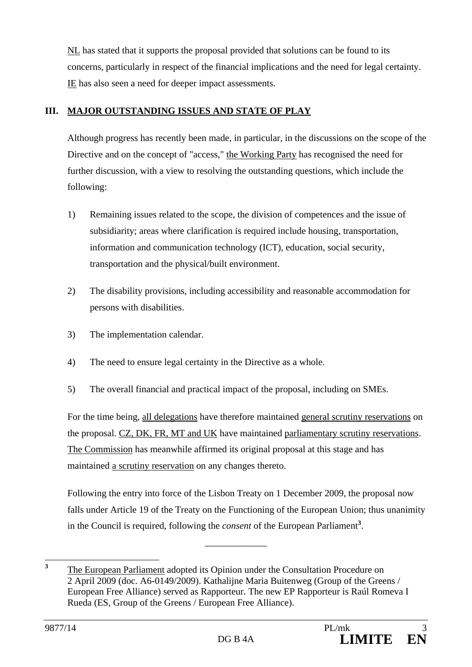NL has stated that it supports the proposal provided that solutions can be found to its concerns, particularly in respect of the financial implications and the need for legal certainty. IE has also seen a need for deeper impact assessments.

### **III. MAJOR OUTSTANDING ISSUES AND STATE OF PLAY**

Although progress has recently been made, in particular, in the discussions on the scope of the Directive and on the concept of "access," the Working Party has recognised the need for further discussion, with a view to resolving the outstanding questions, which include the following:

- 1) Remaining issues related to the scope, the division of competences and the issue of subsidiarity; areas where clarification is required include housing, transportation, information and communication technology (ICT), education, social security, transportation and the physical/built environment.
- 2) The disability provisions, including accessibility and reasonable accommodation for persons with disabilities.
- 3) The implementation calendar.
- 4) The need to ensure legal certainty in the Directive as a whole.
- 5) The overall financial and practical impact of the proposal, including on SMEs.

For the time being, all delegations have therefore maintained general scrutiny reservations on the proposal. CZ, DK, FR, MT and UK have maintained parliamentary scrutiny reservations. The Commission has meanwhile affirmed its original proposal at this stage and has maintained a scrutiny reservation on any changes thereto.

Following the entry into force of the Lisbon Treaty on 1 December 2009, the proposal now falls under Article 19 of the Treaty on the Functioning of the European Union; thus unanimity in the Council is required, following the *consent* of the European Parliament**<sup>3</sup>** .

\_\_\_\_\_\_\_\_\_\_\_\_\_

 **3** The European Parliament adopted its Opinion under the Consultation Procedure on 2 April 2009 (doc. A6-0149/2009). Kathalijne Maria Buitenweg (Group of the Greens / European Free Alliance) served as Rapporteur. The new EP Rapporteur is Raúl Romeva I Rueda (ES, Group of the Greens / European Free Alliance).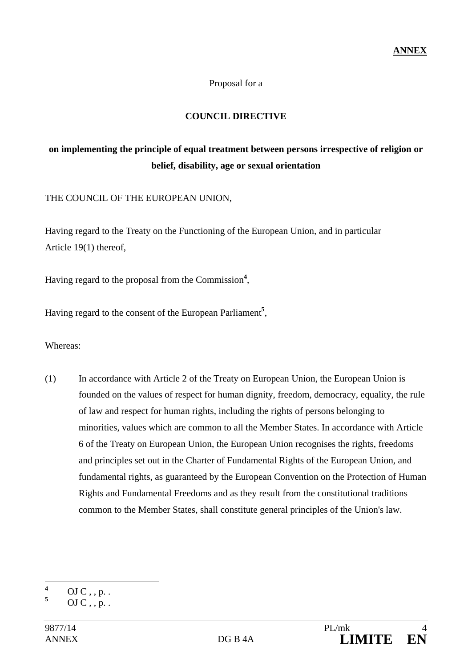#### Proposal for a

#### **COUNCIL DIRECTIVE**

# **on implementing the principle of equal treatment between persons irrespective of religion or belief, disability, age or sexual orientation**

THE COUNCIL OF THE EUROPEAN UNION,

Having regard to the Treaty on the Functioning of the European Union, and in particular Article 19(1) thereof,

Having regard to the proposal from the Commission**<sup>4</sup>** ,

Having regard to the consent of the European Parliament**<sup>5</sup>** ,

Whereas:

(1) In accordance with Article 2 of the Treaty on European Union, the European Union is founded on the values of respect for human dignity, freedom, democracy, equality, the rule of law and respect for human rights, including the rights of persons belonging to minorities, values which are common to all the Member States. In accordance with Article 6 of the Treaty on European Union, the European Union recognises the rights, freedoms and principles set out in the Charter of Fundamental Rights of the European Union, and fundamental rights, as guaranteed by the European Convention on the Protection of Human Rights and Fundamental Freedoms and as they result from the constitutional traditions common to the Member States, shall constitute general principles of the Union's law.

 **4**  $OJ C$ , , p. .

**<sup>5</sup>**  $OJ C$ , , p. .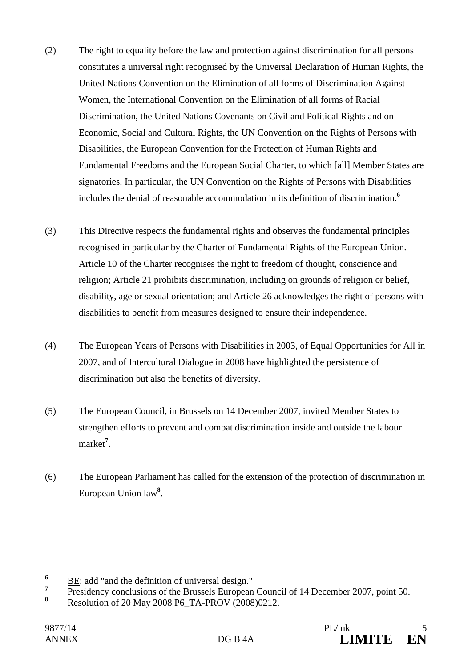- (2) The right to equality before the law and protection against discrimination for all persons constitutes a universal right recognised by the Universal Declaration of Human Rights, the United Nations Convention on the Elimination of all forms of Discrimination Against Women, the International Convention on the Elimination of all forms of Racial Discrimination, the United Nations Covenants on Civil and Political Rights and on Economic, Social and Cultural Rights, the UN Convention on the Rights of Persons with Disabilities, the European Convention for the Protection of Human Rights and Fundamental Freedoms and the European Social Charter, to which [all] Member States are signatories. In particular, the UN Convention on the Rights of Persons with Disabilities includes the denial of reasonable accommodation in its definition of discrimination.**<sup>6</sup>**
- (3) This Directive respects the fundamental rights and observes the fundamental principles recognised in particular by the Charter of Fundamental Rights of the European Union. Article 10 of the Charter recognises the right to freedom of thought, conscience and religion; Article 21 prohibits discrimination, including on grounds of religion or belief, disability, age or sexual orientation; and Article 26 acknowledges the right of persons with disabilities to benefit from measures designed to ensure their independence.
- (4) The European Years of Persons with Disabilities in 2003, of Equal Opportunities for All in 2007, and of Intercultural Dialogue in 2008 have highlighted the persistence of discrimination but also the benefits of diversity.
- (5) The European Council, in Brussels on 14 December 2007, invited Member States to strengthen efforts to prevent and combat discrimination inside and outside the labour market**<sup>7</sup> .**
- (6) The European Parliament has called for the extension of the protection of discrimination in European Union law**<sup>8</sup>** .

 **6** BE: add "and the definition of universal design."

**<sup>7</sup>** Presidency conclusions of the Brussels European Council of 14 December 2007, point 50.

**<sup>8</sup>** Resolution of 20 May 2008 P6\_TA-PROV (2008)0212.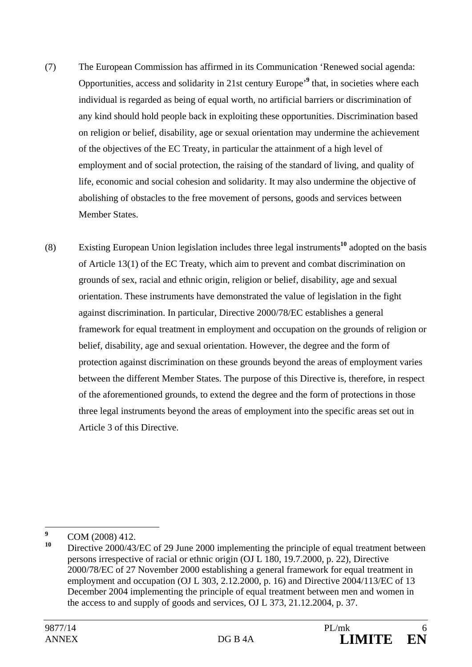- (7) The European Commission has affirmed in its Communication 'Renewed social agenda: Opportunities, access and solidarity in 21st century Europe'**<sup>9</sup>** that, in societies where each individual is regarded as being of equal worth, no artificial barriers or discrimination of any kind should hold people back in exploiting these opportunities. Discrimination based on religion or belief, disability, age or sexual orientation may undermine the achievement of the objectives of the EC Treaty, in particular the attainment of a high level of employment and of social protection, the raising of the standard of living, and quality of life, economic and social cohesion and solidarity. It may also undermine the objective of abolishing of obstacles to the free movement of persons, goods and services between Member States.
- (8) Existing European Union legislation includes three legal instruments**<sup>10</sup>** adopted on the basis of Article 13(1) of the EC Treaty, which aim to prevent and combat discrimination on grounds of sex, racial and ethnic origin, religion or belief, disability, age and sexual orientation. These instruments have demonstrated the value of legislation in the fight against discrimination. In particular, Directive 2000/78/EC establishes a general framework for equal treatment in employment and occupation on the grounds of religion or belief, disability, age and sexual orientation. However, the degree and the form of protection against discrimination on these grounds beyond the areas of employment varies between the different Member States. The purpose of this Directive is, therefore, in respect of the aforementioned grounds, to extend the degree and the form of protections in those three legal instruments beyond the areas of employment into the specific areas set out in Article 3 of this Directive.

 **9**  $\frac{9}{10}$  COM (2008) 412.

**<sup>10</sup>** Directive 2000/43/EC of 29 June 2000 implementing the principle of equal treatment between persons irrespective of racial or ethnic origin (OJ L 180, 19.7.2000, p. 22), Directive 2000/78/EC of 27 November 2000 establishing a general framework for equal treatment in employment and occupation (OJ L 303, 2.12.2000, p. 16) and Directive 2004/113/EC of 13 December 2004 implementing the principle of equal treatment between men and women in the access to and supply of goods and services, OJ L 373, 21.12.2004, p. 37.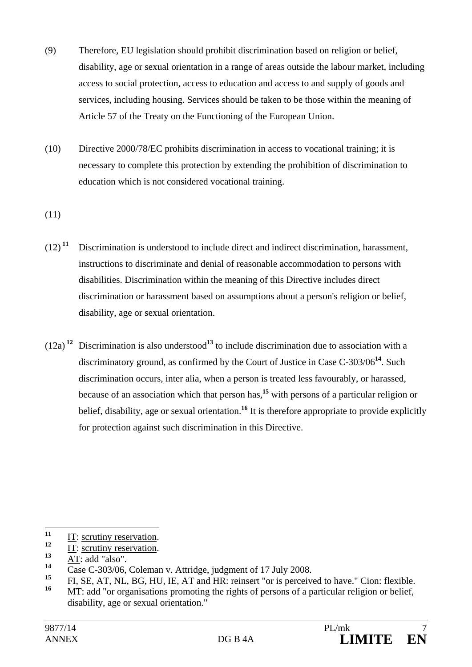- (9) Therefore, EU legislation should prohibit discrimination based on religion or belief, disability, age or sexual orientation in a range of areas outside the labour market, including access to social protection, access to education and access to and supply of goods and services, including housing. Services should be taken to be those within the meaning of Article 57 of the Treaty on the Functioning of the European Union.
- (10) Directive 2000/78/EC prohibits discrimination in access to vocational training; it is necessary to complete this protection by extending the prohibition of discrimination to education which is not considered vocational training.

(11)

- $(12)$ <sup>11</sup> Discrimination is understood to include direct and indirect discrimination, harassment, instructions to discriminate and denial of reasonable accommodation to persons with disabilities. Discrimination within the meaning of this Directive includes direct discrimination or harassment based on assumptions about a person's religion or belief, disability, age or sexual orientation.
- $(12a)^{12}$  Discrimination is also understood<sup>13</sup> to include discrimination due to association with a discriminatory ground, as confirmed by the Court of Justice in Case C-303/06**<sup>14</sup>**. Such discrimination occurs, inter alia, when a person is treated less favourably, or harassed, because of an association which that person has*,* **<sup>15</sup>** with persons of a particular religion or belief, disability, age or sexual orientation.**<sup>16</sup>** It is therefore appropriate to provide explicitly for protection against such discrimination in this Directive.

 $\overline{11}$  $\frac{11}{12}$  IT: scrutiny reservation.

 $\frac{12}{13}$  IT: scrutiny reservation.

 $\frac{13}{14}$  AT: add "also".

<sup>&</sup>lt;sup>14</sup> Case C-303/06, Coleman v. Attridge, judgment of 17 July 2008.

**<sup>15</sup>** FI, SE, AT, NL, BG, HU, IE, AT and HR: reinsert "or is perceived to have." Cion: flexible.

MT: add "or organisations promoting the rights of persons of a particular religion or belief, disability, age or sexual orientation."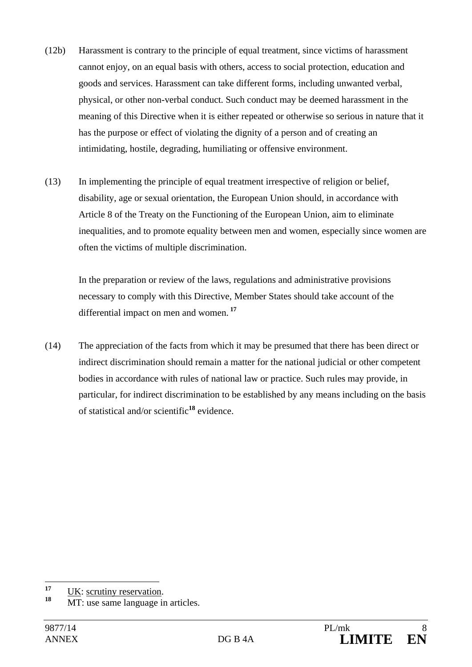- (12b) Harassment is contrary to the principle of equal treatment, since victims of harassment cannot enjoy, on an equal basis with others, access to social protection, education and goods and services. Harassment can take different forms, including unwanted verbal, physical, or other non-verbal conduct. Such conduct may be deemed harassment in the meaning of this Directive when it is either repeated or otherwise so serious in nature that it has the purpose or effect of violating the dignity of a person and of creating an intimidating, hostile, degrading, humiliating or offensive environment.
- (13) In implementing the principle of equal treatment irrespective of religion or belief, disability, age or sexual orientation, the European Union should, in accordance with Article 8 of the Treaty on the Functioning of the European Union, aim to eliminate inequalities, and to promote equality between men and women, especially since women are often the victims of multiple discrimination.

In the preparation or review of the laws, regulations and administrative provisions necessary to comply with this Directive, Member States should take account of the differential impact on men and women.**<sup>17</sup>**

(14) The appreciation of the facts from which it may be presumed that there has been direct or indirect discrimination should remain a matter for the national judicial or other competent bodies in accordance with rules of national law or practice. Such rules may provide, in particular, for indirect discrimination to be established by any means including on the basis of statistical and/or scientific**<sup>18</sup>** evidence.

 $17$ <sup>17</sup> UK: scrutiny reservation.

**MT**: use same language in articles.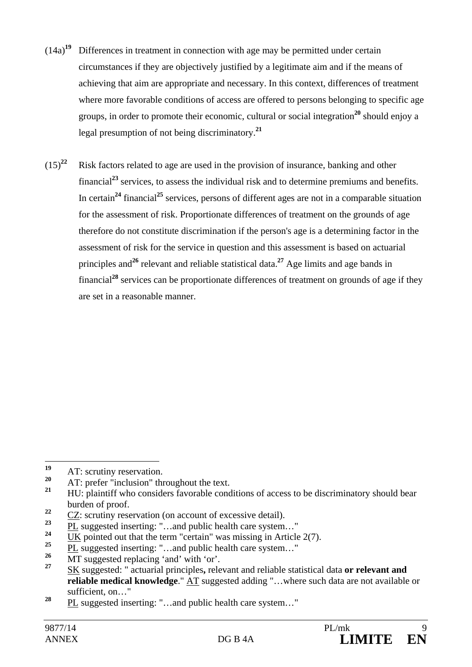- (14a)**<sup>19</sup>** Differences in treatment in connection with age may be permitted under certain circumstances if they are objectively justified by a legitimate aim and if the means of achieving that aim are appropriate and necessary. In this context, differences of treatment where more favorable conditions of access are offered to persons belonging to specific age groups, in order to promote their economic, cultural or social integration**<sup>20</sup>** should enjoy a legal presumption of not being discriminatory.**<sup>21</sup>**
- (15)**<sup>22</sup>** Risk factors related to age are used in the provision of insurance, banking and other financial**<sup>23</sup>** services, to assess the individual risk and to determine premiums and benefits. In certain**<sup>24</sup>** financial**<sup>25</sup>** services, persons of different ages are not in a comparable situation for the assessment of risk. Proportionate differences of treatment on the grounds of age therefore do not constitute discrimination if the person's age is a determining factor in the assessment of risk for the service in question and this assessment is based on actuarial principles and<sup>26</sup> relevant and reliable statistical data.<sup>27</sup> Age limits and age bands in financial**<sup>28</sup>** services can be proportionate differences of treatment on grounds of age if they are set in a reasonable manner.

 $19$ <sup>19</sup> AT: scrutiny reservation.

<sup>&</sup>lt;sup>20</sup> AT: prefer "inclusion" throughout the text.

**<sup>21</sup>** HU: plaintiff who considers favorable conditions of access to be discriminatory should bear burden of proof.

 $\frac{22}{23}$  CZ: scrutiny reservation (on account of excessive detail).

 $\frac{23}{24}$  PL suggested inserting: "...and public health care system..."

<sup>&</sup>lt;sup>24</sup> UK pointed out that the term "certain" was missing in Article  $2(7)$ .

<sup>&</sup>lt;sup>25</sup> PL suggested inserting: "...and public health care system..."<br>
26 MT proposed develops for displayed that

<sup>&</sup>lt;sup>26</sup> MT suggested replacing 'and' with 'or'.

**<sup>27</sup>** SK suggested: " actuarial principles**,** relevant and reliable statistical data **or relevant and reliable medical knowledge**." AT suggested adding "…where such data are not available or sufficient, on…"

**<sup>28</sup>** PL suggested inserting: "…and public health care system…"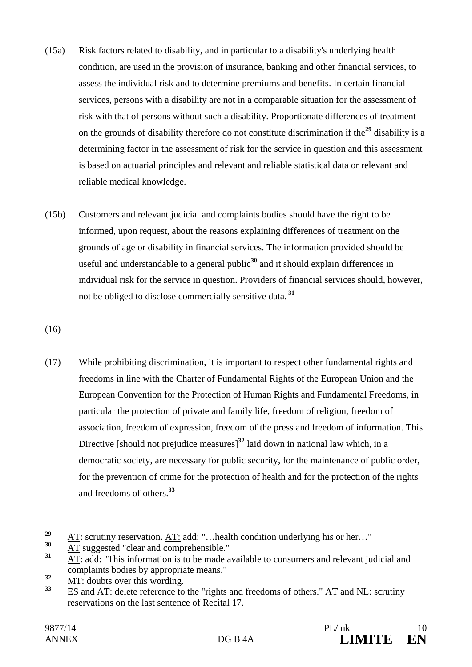- (15a) Risk factors related to disability, and in particular to a disability's underlying health condition, are used in the provision of insurance, banking and other financial services, to assess the individual risk and to determine premiums and benefits. In certain financial services, persons with a disability are not in a comparable situation for the assessment of risk with that of persons without such a disability. Proportionate differences of treatment on the grounds of disability therefore do not constitute discrimination if the**<sup>29</sup>** disability is a determining factor in the assessment of risk for the service in question and this assessment is based on actuarial principles and relevant and reliable statistical data or relevant and reliable medical knowledge.
- (15b) Customers and relevant judicial and complaints bodies should have the right to be informed, upon request, about the reasons explaining differences of treatment on the grounds of age or disability in financial services. The information provided should be useful and understandable to a general public**<sup>30</sup>** and it should explain differences in individual risk for the service in question. Providers of financial services should, however, not be obliged to disclose commercially sensitive data.**<sup>31</sup>**

(16)

(17) While prohibiting discrimination, it is important to respect other fundamental rights and freedoms in line with the Charter of Fundamental Rights of the European Union and the European Convention for the Protection of Human Rights and Fundamental Freedoms, in particular the protection of private and family life, freedom of religion, freedom of association, freedom of expression, freedom of the press and freedom of information. This Directive [should not prejudice measures]**<sup>32</sup>** laid down in national law which, in a democratic society, are necessary for public security, for the maintenance of public order, for the prevention of crime for the protection of health and for the protection of the rights and freedoms of others.**<sup>33</sup>**

 $29$ **29** AT: scrutiny reservation. AT: add: "... health condition underlying his or her..."

 $\frac{30}{31}$  AT suggested "clear and comprehensible."

**<sup>31</sup>** AT: add: "This information is to be made available to consumers and relevant judicial and complaints bodies by appropriate means."

 $\overline{32}$  MT: doubts over this wording.

**<sup>33</sup>** ES and AT: delete reference to the "rights and freedoms of others." AT and NL: scrutiny reservations on the last sentence of Recital 17.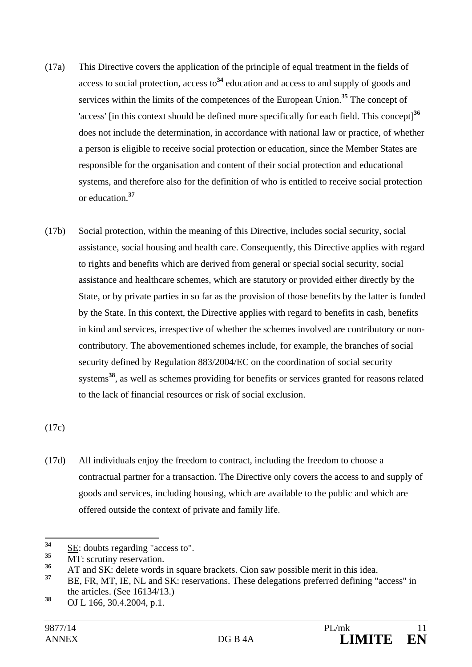- (17a) This Directive covers the application of the principle of equal treatment in the fields of access to social protection, access to**<sup>34</sup>** education and access to and supply of goods and services within the limits of the competences of the European Union.**<sup>35</sup>** The concept of 'access' [in this context should be defined more specifically for each field. This concept]**<sup>36</sup>** does not include the determination, in accordance with national law or practice, of whether a person is eligible to receive social protection or education, since the Member States are responsible for the organisation and content of their social protection and educational systems, and therefore also for the definition of who is entitled to receive social protection or education.**<sup>37</sup>**
- (17b) Social protection, within the meaning of this Directive, includes social security, social assistance, social housing and health care. Consequently, this Directive applies with regard to rights and benefits which are derived from general or special social security, social assistance and healthcare schemes, which are statutory or provided either directly by the State, or by private parties in so far as the provision of those benefits by the latter is funded by the State. In this context, the Directive applies with regard to benefits in cash, benefits in kind and services, irrespective of whether the schemes involved are contributory or noncontributory. The abovementioned schemes include, for example, the branches of social security defined by Regulation 883/2004/EC on the coordination of social security systems**<sup>38</sup>**, as well as schemes providing for benefits or services granted for reasons related to the lack of financial resources or risk of social exclusion.

(17c)

(17d) All individuals enjoy the freedom to contract, including the freedom to choose a contractual partner for a transaction. The Directive only covers the access to and supply of goods and services, including housing, which are available to the public and which are offered outside the context of private and family life.

<sup>34</sup>  $\frac{34}{35}$  <u>SE</u>: doubts regarding "access to".

<sup>&</sup>lt;sup>35</sup> MT: scrutiny reservation.

<sup>&</sup>lt;sup>36</sup> AT and SK: delete words in square brackets. Cion saw possible merit in this idea.

**<sup>37</sup>** BE, FR, MT, IE, NL and SK: reservations. These delegations preferred defining "access" in the articles. (See 16134/13.)

**<sup>38</sup>** OJ L 166, 30.4.2004, p.1.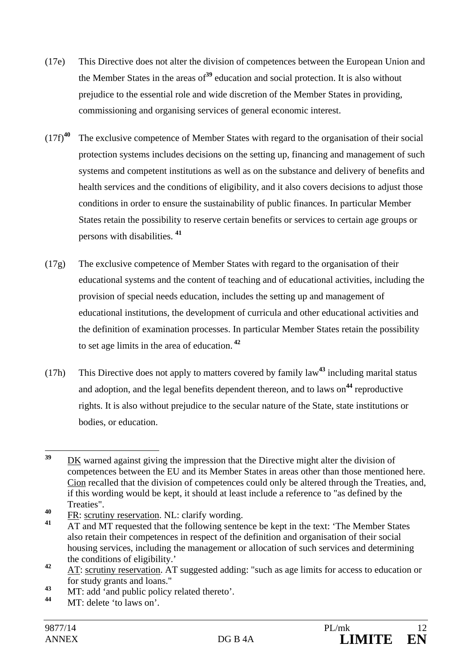- (17e) This Directive does not alter the division of competences between the European Union and the Member States in the areas of**<sup>39</sup>** education and social protection. It is also without prejudice to the essential role and wide discretion of the Member States in providing, commissioning and organising services of general economic interest.
- (17f)**<sup>40</sup>** The exclusive competence of Member States with regard to the organisation of their social protection systems includes decisions on the setting up, financing and management of such systems and competent institutions as well as on the substance and delivery of benefits and health services and the conditions of eligibility, and it also covers decisions to adjust those conditions in order to ensure the sustainability of public finances. In particular Member States retain the possibility to reserve certain benefits or services to certain age groups or persons with disabilities. **<sup>41</sup>**
- (17g) The exclusive competence of Member States with regard to the organisation of their educational systems and the content of teaching and of educational activities, including the provision of special needs education, includes the setting up and management of educational institutions, the development of curricula and other educational activities and the definition of examination processes. In particular Member States retain the possibility to set age limits in the area of education.**<sup>42</sup>**
- (17h) This Directive does not apply to matters covered by family law**<sup>43</sup>** including marital status and adoption, and the legal benefits dependent thereon, and to laws on<sup>44</sup> reproductive rights. It is also without prejudice to the secular nature of the State, state institutions or bodies, or education.

<sup>39</sup> **<sup>39</sup>** DK warned against giving the impression that the Directive might alter the division of competences between the EU and its Member States in areas other than those mentioned here. Cion recalled that the division of competences could only be altered through the Treaties, and, if this wording would be kept, it should at least include a reference to "as defined by the Treaties".

 $\frac{40}{41}$  FR: scrutiny reservation. NL: clarify wording.

**<sup>41</sup>** AT and MT requested that the following sentence be kept in the text: 'The Member States also retain their competences in respect of the definition and organisation of their social housing services, including the management or allocation of such services and determining the conditions of eligibility.'

**<sup>42</sup>** AT: scrutiny reservation. AT suggested adding: "such as age limits for access to education or for study grants and loans."

<sup>&</sup>lt;sup>43</sup> MT: add 'and public policy related thereto'.

MT: delete 'to laws on'.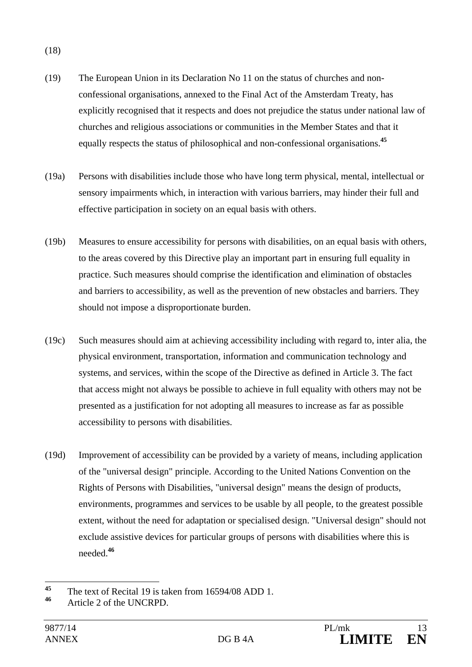(18)

- (19) The European Union in its Declaration No 11 on the status of churches and nonconfessional organisations, annexed to the Final Act of the Amsterdam Treaty, has explicitly recognised that it respects and does not prejudice the status under national law of churches and religious associations or communities in the Member States and that it equally respects the status of philosophical and non-confessional organisations.**<sup>45</sup>**
- (19a) Persons with disabilities include those who have long term physical, mental, intellectual or sensory impairments which, in interaction with various barriers, may hinder their full and effective participation in society on an equal basis with others.
- (19b) Measures to ensure accessibility for persons with disabilities, on an equal basis with others, to the areas covered by this Directive play an important part in ensuring full equality in practice. Such measures should comprise the identification and elimination of obstacles and barriers to accessibility, as well as the prevention of new obstacles and barriers. They should not impose a disproportionate burden.
- (19c) Such measures should aim at achieving accessibility including with regard to, inter alia, the physical environment, transportation, information and communication technology and systems, and services, within the scope of the Directive as defined in Article 3. The fact that access might not always be possible to achieve in full equality with others may not be presented as a justification for not adopting all measures to increase as far as possible accessibility to persons with disabilities.
- (19d) Improvement of accessibility can be provided by a variety of means, including application of the "universal design" principle. According to the United Nations Convention on the Rights of Persons with Disabilities, "universal design" means the design of products, environments, programmes and services to be usable by all people, to the greatest possible extent, without the need for adaptation or specialised design. "Universal design" should not exclude assistive devices for particular groups of persons with disabilities where this is needed.**<sup>46</sup>**

 $45$ <sup>45</sup> The text of Recital 19 is taken from  $16594/08$  ADD 1.

**<sup>46</sup>** Article 2 of the UNCRPD.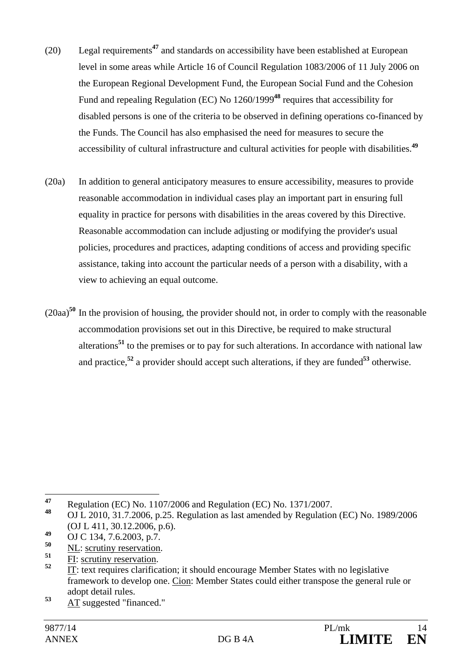- (20) Legal requirements**<sup>47</sup>** and standards on accessibility have been established at European level in some areas while Article 16 of Council Regulation 1083/2006 of 11 July 2006 on the European Regional Development Fund, the European Social Fund and the Cohesion Fund and repealing Regulation (EC) No 1260/1999**<sup>48</sup>** requires that accessibility for disabled persons is one of the criteria to be observed in defining operations co-financed by the Funds. The Council has also emphasised the need for measures to secure the accessibility of cultural infrastructure and cultural activities for people with disabilities.**<sup>49</sup>**
- (20a) In addition to general anticipatory measures to ensure accessibility, measures to provide reasonable accommodation in individual cases play an important part in ensuring full equality in practice for persons with disabilities in the areas covered by this Directive. Reasonable accommodation can include adjusting or modifying the provider's usual policies, procedures and practices, adapting conditions of access and providing specific assistance, taking into account the particular needs of a person with a disability, with a view to achieving an equal outcome.
- (20aa)**<sup>50</sup>** In the provision of housing, the provider should not, in order to comply with the reasonable accommodation provisions set out in this Directive, be required to make structural alterations**<sup>51</sup>** to the premises or to pay for such alterations. In accordance with national law and practice,<sup>52</sup> a provider should accept such alterations, if they are funded<sup>53</sup> otherwise.

- <sup>50</sup> NL: scrutiny reservation.
- $\frac{51}{52}$  <u>FI: scrutiny reservation</u>.

<sup>53</sup> AT suggested "financed."

 $47$ **<sup>47</sup>** Regulation (EC) No. 1107/2006 and Regulation (EC) No. 1371/2007.

**<sup>48</sup>** OJ L 2010, 31.7.2006, p.25. Regulation as last amended by Regulation (EC) No. 1989/2006 (OJ L 411, 30.12.2006, p.6).

<sup>49</sup> OJ C 134, 7.6.2003, p.7.

**<sup>52</sup>** IT: text requires clarification; it should encourage Member States with no legislative framework to develop one. Cion: Member States could either transpose the general rule or adopt detail rules.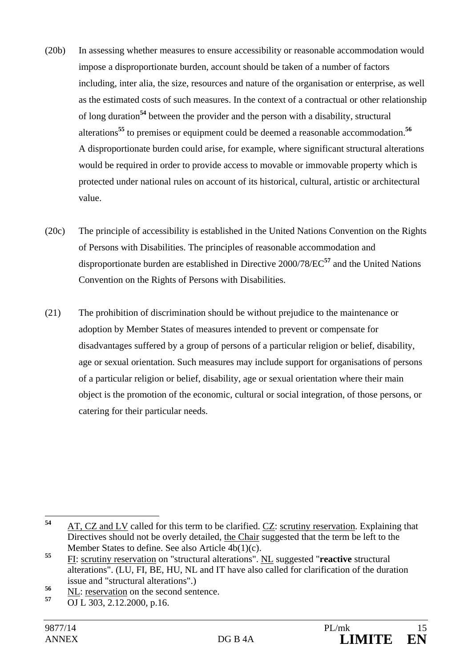- (20b) In assessing whether measures to ensure accessibility or reasonable accommodation would impose a disproportionate burden, account should be taken of a number of factors including, inter alia, the size, resources and nature of the organisation or enterprise, as well as the estimated costs of such measures. In the context of a contractual or other relationship of long duration**<sup>54</sup>** between the provider and the person with a disability, structural alterations**<sup>55</sup>** to premises or equipment could be deemed a reasonable accommodation.**<sup>56</sup>** A disproportionate burden could arise, for example, where significant structural alterations would be required in order to provide access to movable or immovable property which is protected under national rules on account of its historical, cultural, artistic or architectural value.
- (20c) The principle of accessibility is established in the United Nations Convention on the Rights of Persons with Disabilities. The principles of reasonable accommodation and disproportionate burden are established in Directive 2000/78/EC**<sup>57</sup>** and the United Nations Convention on the Rights of Persons with Disabilities.
- (21) The prohibition of discrimination should be without prejudice to the maintenance or adoption by Member States of measures intended to prevent or compensate for disadvantages suffered by a group of persons of a particular religion or belief, disability, age or sexual orientation. Such measures may include support for organisations of persons of a particular religion or belief, disability, age or sexual orientation where their main object is the promotion of the economic, cultural or social integration, of those persons, or catering for their particular needs.

<sup>54</sup> **<sup>54</sup>** AT, CZ and LV called for this term to be clarified. CZ: scrutiny reservation. Explaining that Directives should not be overly detailed, the Chair suggested that the term be left to the Member States to define. See also Article 4b(1)(c).

**<sup>55</sup>** FI: scrutiny reservation on "structural alterations". NL suggested "**reactive** structural alterations". (LU, FI, BE, HU, NL and IT have also called for clarification of the duration issue and "structural alterations".)

 $\frac{56}{57}$   $\frac{NL}{\Omega L}$ : <u>reservation</u> on the second sentence.

**<sup>57</sup>** OJ L 303, 2.12.2000, p.16.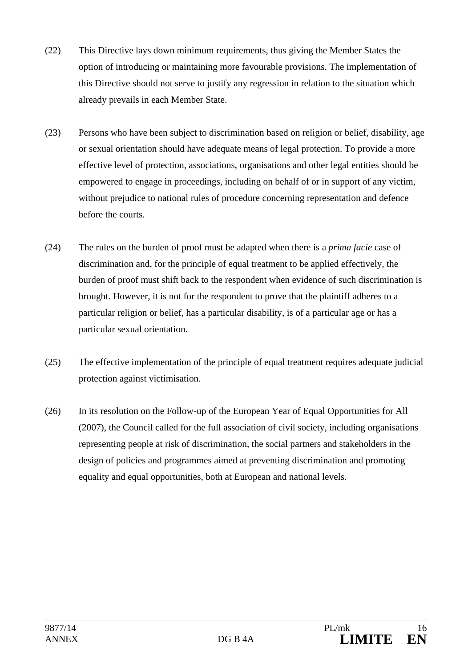- (22) This Directive lays down minimum requirements, thus giving the Member States the option of introducing or maintaining more favourable provisions. The implementation of this Directive should not serve to justify any regression in relation to the situation which already prevails in each Member State.
- (23) Persons who have been subject to discrimination based on religion or belief, disability, age or sexual orientation should have adequate means of legal protection. To provide a more effective level of protection, associations, organisations and other legal entities should be empowered to engage in proceedings, including on behalf of or in support of any victim, without prejudice to national rules of procedure concerning representation and defence before the courts.
- (24) The rules on the burden of proof must be adapted when there is a *prima facie* case of discrimination and, for the principle of equal treatment to be applied effectively, the burden of proof must shift back to the respondent when evidence of such discrimination is brought. However, it is not for the respondent to prove that the plaintiff adheres to a particular religion or belief, has a particular disability, is of a particular age or has a particular sexual orientation.
- (25) The effective implementation of the principle of equal treatment requires adequate judicial protection against victimisation.
- (26) In its resolution on the Follow-up of the European Year of Equal Opportunities for All (2007), the Council called for the full association of civil society, including organisations representing people at risk of discrimination, the social partners and stakeholders in the design of policies and programmes aimed at preventing discrimination and promoting equality and equal opportunities, both at European and national levels.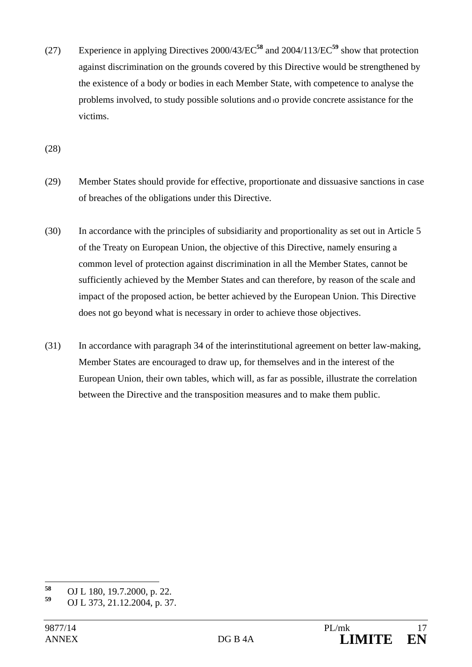(27) Experience in applying Directives 2000/43/EC**<sup>58</sup>** and 2004/113/EC**<sup>59</sup>** show that protection against discrimination on the grounds covered by this Directive would be strengthened by the existence of a body or bodies in each Member State, with competence to analyse the problems involved, to study possible solutions and to provide concrete assistance for the victims.

(28)

- (29) Member States should provide for effective, proportionate and dissuasive sanctions in case of breaches of the obligations under this Directive.
- (30) In accordance with the principles of subsidiarity and proportionality as set out in Article 5 of the Treaty on European Union, the objective of this Directive, namely ensuring a common level of protection against discrimination in all the Member States, cannot be sufficiently achieved by the Member States and can therefore, by reason of the scale and impact of the proposed action, be better achieved by the European Union. This Directive does not go beyond what is necessary in order to achieve those objectives.
- (31) In accordance with paragraph 34 of the interinstitutional agreement on better law-making, Member States are encouraged to draw up, for themselves and in the interest of the European Union, their own tables, which will, as far as possible, illustrate the correlation between the Directive and the transposition measures and to make them public.

<sup>58</sup> **<sup>58</sup>** OJ L 180, 19.7.2000, p. 22.

**<sup>59</sup>** OJ L 373, 21.12.2004, p. 37.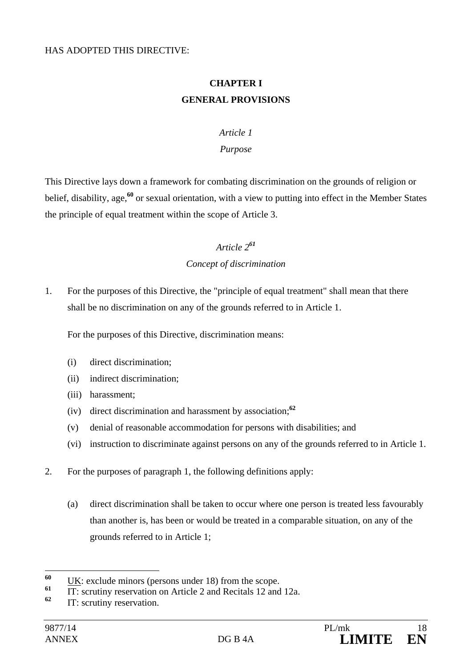### **CHAPTER I GENERAL PROVISIONS**

#### *Article 1*

#### *Purpose*

This Directive lays down a framework for combating discrimination on the grounds of religion or belief, disability, age,**<sup>60</sup>** or sexual orientation, with a view to putting into effect in the Member States the principle of equal treatment within the scope of Article 3.

# *Article 2<sup>61</sup> Concept of discrimination*

1. For the purposes of this Directive, the "principle of equal treatment" shall mean that there shall be no discrimination on any of the grounds referred to in Article 1.

For the purposes of this Directive, discrimination means:

- (i) direct discrimination;
- (ii) indirect discrimination;
- (iii) harassment;
- (iv) direct discrimination and harassment by association;**<sup>62</sup>**
- (v) denial of reasonable accommodation for persons with disabilities; and
- (vi) instruction to discriminate against persons on any of the grounds referred to in Article 1.
- 2. For the purposes of paragraph 1, the following definitions apply:
	- (a) direct discrimination shall be taken to occur where one person is treated less favourably than another is, has been or would be treated in a comparable situation, on any of the grounds referred to in Article 1;

<sup>60</sup> <sup>60</sup> UK: exclude minors (persons under 18) from the scope.

<sup>&</sup>lt;sup>61</sup> IT: scrutiny reservation on Article 2 and Recitals 12 and 12a.

**IT: scrutiny reservation.**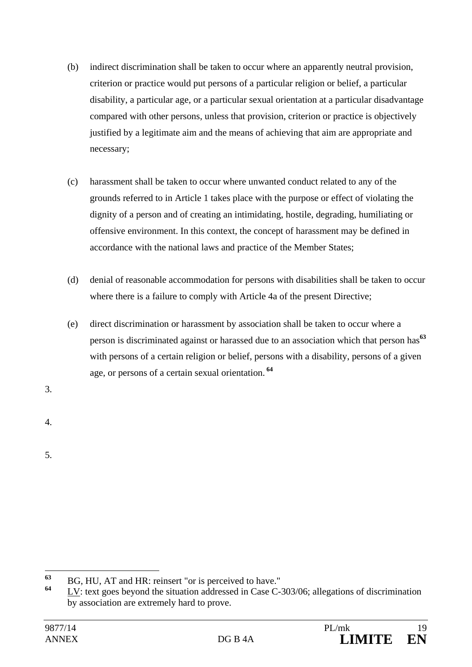- (b) indirect discrimination shall be taken to occur where an apparently neutral provision, criterion or practice would put persons of a particular religion or belief, a particular disability, a particular age, or a particular sexual orientation at a particular disadvantage compared with other persons, unless that provision, criterion or practice is objectively justified by a legitimate aim and the means of achieving that aim are appropriate and necessary;
- (c) harassment shall be taken to occur where unwanted conduct related to any of the grounds referred to in Article 1 takes place with the purpose or effect of violating the dignity of a person and of creating an intimidating, hostile, degrading, humiliating or offensive environment. In this context, the concept of harassment may be defined in accordance with the national laws and practice of the Member States;
- (d) denial of reasonable accommodation for persons with disabilities shall be taken to occur where there is a failure to comply with Article 4a of the present Directive;
- (e) direct discrimination or harassment by association shall be taken to occur where a person is discriminated against or harassed due to an association which that person has**<sup>63</sup>** with persons of a certain religion or belief, persons with a disability, persons of a given age, or persons of a certain sexual orientation.**<sup>64</sup>**
- 3.
- 4.
- 5.

<sup>63</sup> **<sup>63</sup>** BG, HU, AT and HR: reinsert "or is perceived to have."

LV: text goes beyond the situation addressed in Case C-303/06; allegations of discrimination by association are extremely hard to prove.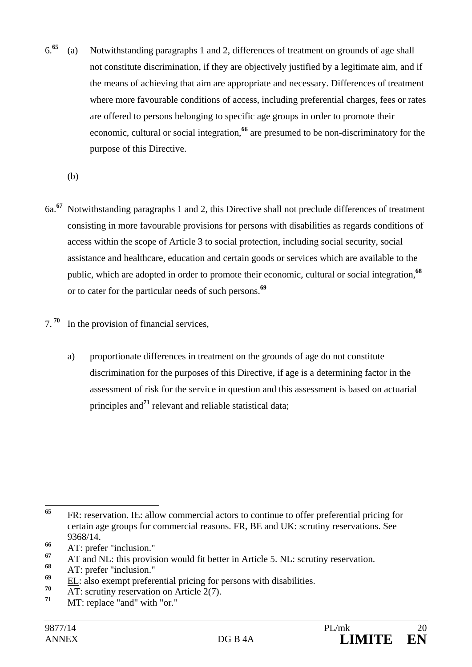- 6.**<sup>65</sup>** (a) Notwithstanding paragraphs 1 and 2, differences of treatment on grounds of age shall not constitute discrimination, if they are objectively justified by a legitimate aim, and if the means of achieving that aim are appropriate and necessary. Differences of treatment where more favourable conditions of access, including preferential charges, fees or rates are offered to persons belonging to specific age groups in order to promote their economic, cultural or social integration,**<sup>66</sup>** are presumed to be non-discriminatory for the purpose of this Directive.
	- (b)
- 6a.**<sup>67</sup>** Notwithstanding paragraphs 1 and 2, this Directive shall not preclude differences of treatment consisting in more favourable provisions for persons with disabilities as regards conditions of access within the scope of Article 3 to social protection, including social security, social assistance and healthcare, education and certain goods or services which are available to the public, which are adopted in order to promote their economic, cultural or social integration,**<sup>68</sup>** or to cater for the particular needs of such persons.**<sup>69</sup>**
- 7.**<sup>70</sup>** In the provision of financial services,
	- a) proportionate differences in treatment on the grounds of age do not constitute discrimination for the purposes of this Directive, if age is a determining factor in the assessment of risk for the service in question and this assessment is based on actuarial principles and**<sup>71</sup>** relevant and reliable statistical data;

<sup>65</sup> **<sup>65</sup>** FR: reservation. IE: allow commercial actors to continue to offer preferential pricing for certain age groups for commercial reasons. FR, BE and UK: scrutiny reservations. See 9368/14.

**<sup>66</sup>** AT: prefer "inclusion."

<sup>&</sup>lt;sup>67</sup> AT and NL: this provision would fit better in Article 5. NL: scrutiny reservation.

<sup>&</sup>lt;sup>68</sup> AT: prefer "inclusion."

<sup>&</sup>lt;sup>69</sup> EL: also exempt preferential pricing for persons with disabilities.

 $\frac{70}{71}$  AT: scrutiny reservation on Article 2(7).

MT: replace "and" with "or."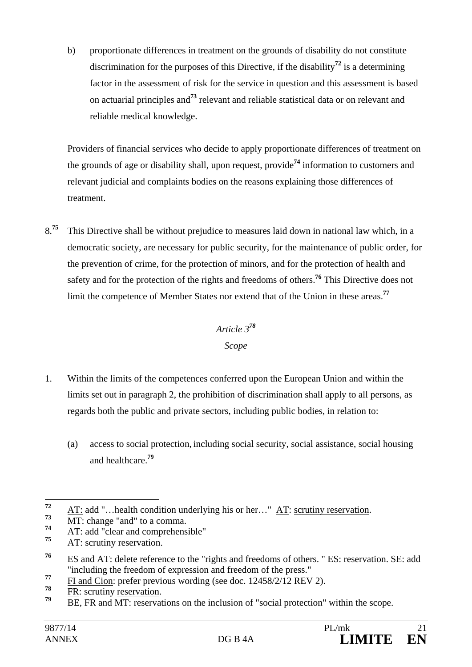b) proportionate differences in treatment on the grounds of disability do not constitute discrimination for the purposes of this Directive, if the disability**<sup>72</sup>** is a determining factor in the assessment of risk for the service in question and this assessment is based on actuarial principles and**<sup>73</sup>** relevant and reliable statistical data or on relevant and reliable medical knowledge.

Providers of financial services who decide to apply proportionate differences of treatment on the grounds of age or disability shall, upon request, provide**<sup>74</sup>** information to customers and relevant judicial and complaints bodies on the reasons explaining those differences of treatment.

8<sup>.75</sup> This Directive shall be without prejudice to measures laid down in national law which, in a democratic society, are necessary for public security, for the maintenance of public order, for the prevention of crime, for the protection of minors, and for the protection of health and safety and for the protection of the rights and freedoms of others.**<sup>76</sup>** This Directive does not limit the competence of Member States nor extend that of the Union in these areas.**<sup>77</sup>**

# *Article 3<sup>78</sup> Scope*

- 1. Within the limits of the competences conferred upon the European Union and within the limits set out in paragraph 2, the prohibition of discrimination shall apply to all persons, as regards both the public and private sectors, including public bodies, in relation to:
	- (a) access to social protection, including social security, social assistance, social housing and healthcare.**<sup>79</sup>**

 $\frac{78}{79}$  FR: scrutiny <u>reservation</u>.

 $72$  $\frac{72}{73}$  AT: add "...health condition underlying his or her..." AT: scrutiny reservation.

 $7^3$  MT: change "and" to a comma.

 $\frac{4T}{75}$  **AT**: add "clear and comprehensible"

AT: scrutiny reservation.

**<sup>76</sup>** ES and AT: delete reference to the "rights and freedoms of others. " ES: reservation. SE: add "including the freedom of expression and freedom of the press."

<sup>&</sup>lt;sup>77</sup> FI and Cion: prefer previous wording (see doc. 12458/2/12 REV 2).

BE, FR and MT: reservations on the inclusion of "social protection" within the scope.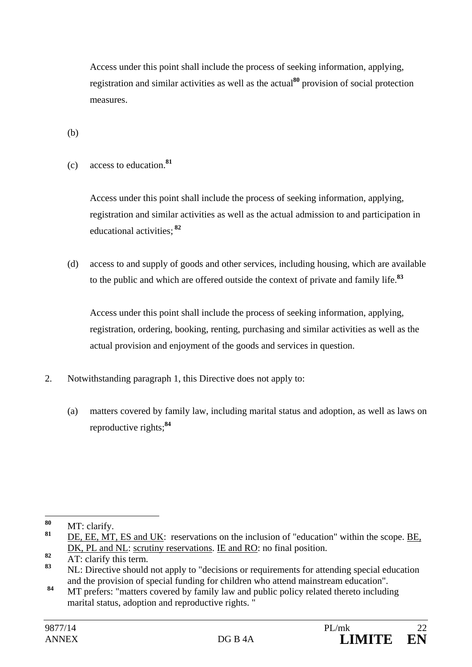Access under this point shall include the process of seeking information, applying, registration and similar activities as well as the actual**<sup>80</sup>** provision of social protection measures.

(b)

(c) access to education.**<sup>81</sup>**

Access under this point shall include the process of seeking information, applying, registration and similar activities as well as the actual admission to and participation in educational activities;**<sup>82</sup>**

(d) access to and supply of goods and other services, including housing, which are available to the public and which are offered outside the context of private and family life.**<sup>83</sup>**

Access under this point shall include the process of seeking information, applying, registration, ordering, booking, renting, purchasing and similar activities as well as the actual provision and enjoyment of the goods and services in question.

- 2. Notwithstanding paragraph 1, this Directive does not apply to:
	- (a) matters covered by family law, including marital status and adoption, as well as laws on reproductive rights;**<sup>84</sup>**

<sup>80</sup>  $\frac{80}{81}$  MT: clarify.

DE, EE, MT, ES and UK: reservations on the inclusion of "education" within the scope. BE, DK, PL and NL: scrutiny reservations. IE and RO: no final position.

 $\frac{82}{\text{AT: } \text{clarify this term.}}$ 

**<sup>83</sup>** NL: Directive should not apply to "decisions or requirements for attending special education and the provision of special funding for children who attend mainstream education".

<sup>84</sup> MT prefers: "matters covered by family law and public policy related thereto including marital status, adoption and reproductive rights. "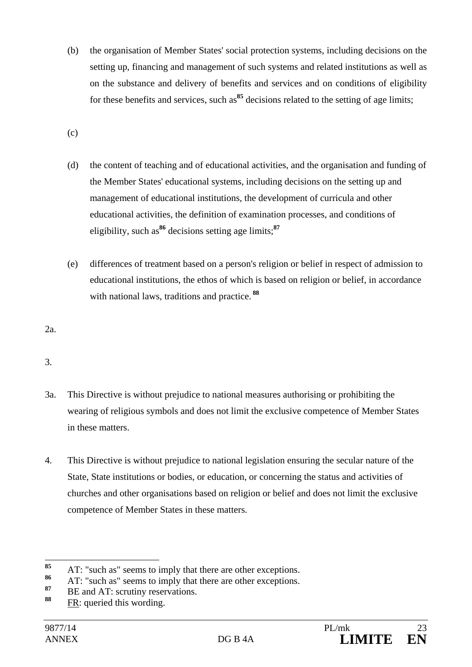- (b) the organisation of Member States' social protection systems, including decisions on the setting up, financing and management of such systems and related institutions as well as on the substance and delivery of benefits and services and on conditions of eligibility for these benefits and services, such as<sup>85</sup> decisions related to the setting of age limits;
- (c)
- (d) the content of teaching and of educational activities, and the organisation and funding of the Member States' educational systems, including decisions on the setting up and management of educational institutions, the development of curricula and other educational activities, the definition of examination processes, and conditions of eligibility, such as**<sup>86</sup>** decisions setting age limits;**<sup>87</sup>**
- (e) differences of treatment based on a person's religion or belief in respect of admission to educational institutions, the ethos of which is based on religion or belief, in accordance with national laws, traditions and practice.**<sup>88</sup>**

2a.

3.

- 3a. This Directive is without prejudice to national measures authorising or prohibiting the wearing of religious symbols and does not limit the exclusive competence of Member States in these matters.
- 4. This Directive is without prejudice to national legislation ensuring the secular nature of the State, State institutions or bodies, or education, or concerning the status and activities of churches and other organisations based on religion or belief and does not limit the exclusive competence of Member States in these matters.

<sup>85</sup> <sup>85</sup> AT: "such as" seems to imply that there are other exceptions.

<sup>&</sup>lt;sup>86</sup> AT: "such as" seems to imply that there are other exceptions.

<sup>&</sup>lt;sup>87</sup> BE and AT: scrutiny reservations.

**<sup>88</sup>** FR: queried this wording.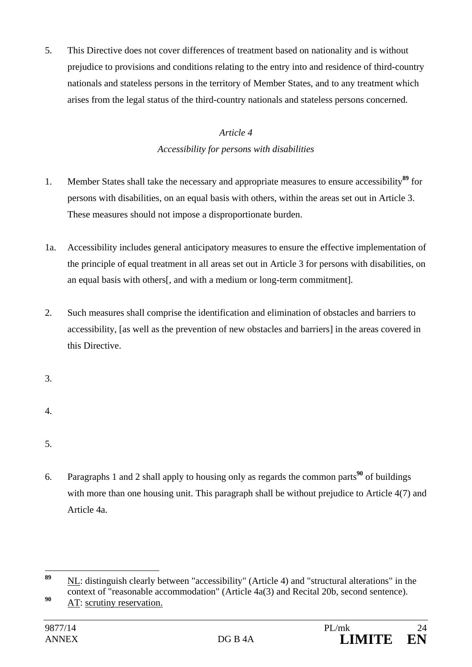5. This Directive does not cover differences of treatment based on nationality and is without prejudice to provisions and conditions relating to the entry into and residence of third-country nationals and stateless persons in the territory of Member States, and to any treatment which arises from the legal status of the third-country nationals and stateless persons concerned.

#### *Article 4*

### *Accessibility for persons with disabilities*

- 1. Member States shall take the necessary and appropriate measures to ensure accessibility**<sup>89</sup>** for persons with disabilities, on an equal basis with others, within the areas set out in Article 3. These measures should not impose a disproportionate burden.
- 1a. Accessibility includes general anticipatory measures to ensure the effective implementation of the principle of equal treatment in all areas set out in Article 3 for persons with disabilities, on an equal basis with others[, and with a medium or long-term commitment].
- 2. Such measures shall comprise the identification and elimination of obstacles and barriers to accessibility, [as well as the prevention of new obstacles and barriers] in the areas covered in this Directive.

3.

- 4.
- 5.
- 6. Paragraphs 1 and 2 shall apply to housing only as regards the common parts**<sup>90</sup>** of buildings with more than one housing unit. This paragraph shall be without prejudice to Article 4(7) and Article 4a.

<sup>89</sup> **<sup>89</sup>** NL: distinguish clearly between "accessibility" (Article 4) and "structural alterations" in the context of "reasonable accommodation" (Article 4a(3) and Recital 20b, second sentence).

**<sup>90</sup>** AT: scrutiny reservation.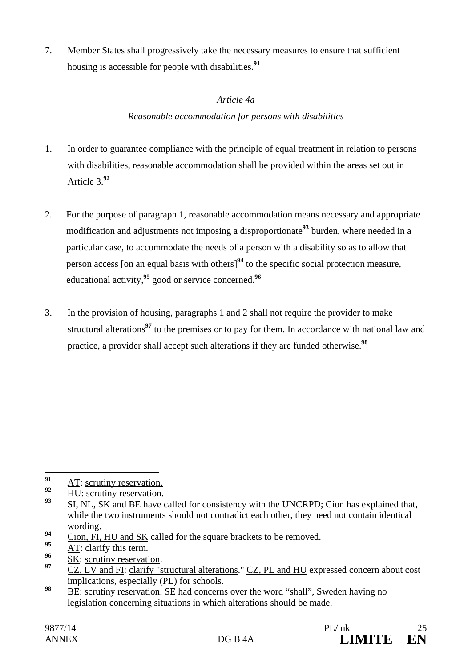7. Member States shall progressively take the necessary measures to ensure that sufficient housing is accessible for people with disabilities.**<sup>91</sup>**

#### *Article 4a*

### *Reasonable accommodation for persons with disabilities*

- 1. In order to guarantee compliance with the principle of equal treatment in relation to persons with disabilities, reasonable accommodation shall be provided within the areas set out in Article 3.**<sup>92</sup>**
- 2. For the purpose of paragraph 1, reasonable accommodation means necessary and appropriate modification and adjustments not imposing a disproportionate**<sup>93</sup>** burden, where needed in a particular case, to accommodate the needs of a person with a disability so as to allow that person access [on an equal basis with others]**<sup>94</sup>** to the specific social protection measure, educational activity,**<sup>95</sup>** good or service concerned.**<sup>96</sup>**
- 3. In the provision of housing, paragraphs 1 and 2 shall not require the provider to make structural alterations**<sup>97</sup>** to the premises or to pay for them. In accordance with national law and practice, a provider shall accept such alterations if they are funded otherwise.**<sup>98</sup>**

- $\frac{94}{95}$  Cion, FI, HU and SK called for the square brackets to be removed.
- $\frac{95}{96}$  AT: clarify this term.
- <sup>96</sup> SK: scrutiny reservation.

 $91$  $\frac{91}{92}$  AT: scrutiny reservation.

 $\frac{92}{93}$  HU: scrutiny reservation.

**<sup>93</sup>** SI, NL, SK and BE have called for consistency with the UNCRPD; Cion has explained that, while the two instruments should not contradict each other, they need not contain identical wording.

**<sup>97</sup>** CZ, LV and FI: clarify "structural alterations." CZ, PL and HU expressed concern about cost implications, especially (PL) for schools.

**<sup>98</sup>** BE: scrutiny reservation. SE had concerns over the word "shall", Sweden having no legislation concerning situations in which alterations should be made.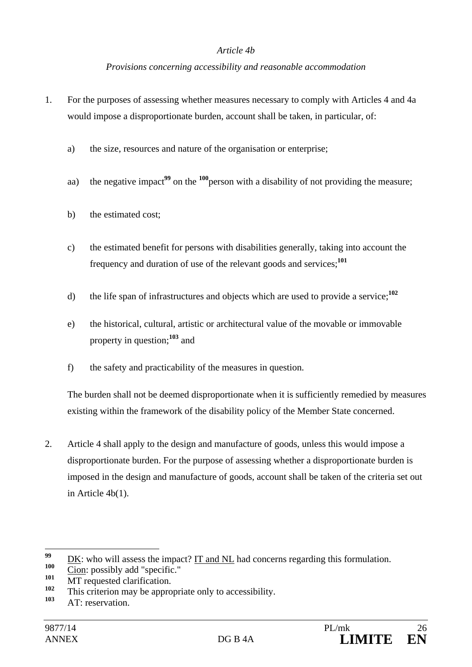#### *Article 4b*

#### *Provisions concerning accessibility and reasonable accommodation*

- 1. For the purposes of assessing whether measures necessary to comply with Articles 4 and 4a would impose a disproportionate burden, account shall be taken, in particular, of:
	- a) the size, resources and nature of the organisation or enterprise;
	- aa) the negative impact<sup>99</sup> on the <sup>100</sup>person with a disability of not providing the measure;
	- b) the estimated cost;
	- c) the estimated benefit for persons with disabilities generally, taking into account the frequency and duration of use of the relevant goods and services;**<sup>101</sup>**
	- d) the life span of infrastructures and objects which are used to provide a service;**<sup>102</sup>**
	- e) the historical, cultural, artistic or architectural value of the movable or immovable property in question;**<sup>103</sup>** and
	- f) the safety and practicability of the measures in question.

The burden shall not be deemed disproportionate when it is sufficiently remedied by measures existing within the framework of the disability policy of the Member State concerned.

2. Article 4 shall apply to the design and manufacture of goods, unless this would impose a disproportionate burden. For the purpose of assessing whether a disproportionate burden is imposed in the design and manufacture of goods, account shall be taken of the criteria set out in Article 4b(1).

<sup>99</sup> <sup>99</sup> <u>DK</u>: who will assess the impact? <u>IT and NL</u> had concerns regarding this formulation.

 $\frac{100}{101}$  Cion: possibly add "specific."

<sup>&</sup>lt;sup>101</sup> MT requested clarification.

<sup>&</sup>lt;sup>102</sup> This criterion may be appropriate only to accessibility.

AT: reservation.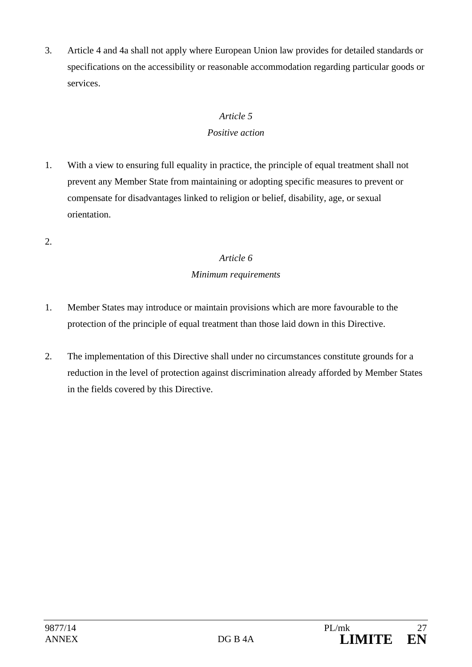3. Article 4 and 4a shall not apply where European Union law provides for detailed standards or specifications on the accessibility or reasonable accommodation regarding particular goods or services.

### *Article 5 Positive action*

- 1. With a view to ensuring full equality in practice, the principle of equal treatment shall not prevent any Member State from maintaining or adopting specific measures to prevent or compensate for disadvantages linked to religion or belief, disability, age, or sexual orientation.
- 2.

# *Article 6 Minimum requirements*

- 1. Member States may introduce or maintain provisions which are more favourable to the protection of the principle of equal treatment than those laid down in this Directive.
- 2. The implementation of this Directive shall under no circumstances constitute grounds for a reduction in the level of protection against discrimination already afforded by Member States in the fields covered by this Directive.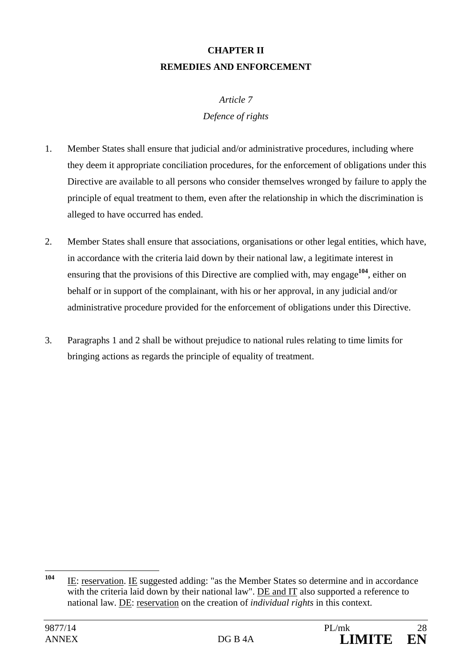# **CHAPTER II REMEDIES AND ENFORCEMENT**

#### *Article 7*

### *Defence of rights*

- 1. Member States shall ensure that judicial and/or administrative procedures, including where they deem it appropriate conciliation procedures, for the enforcement of obligations under this Directive are available to all persons who consider themselves wronged by failure to apply the principle of equal treatment to them, even after the relationship in which the discrimination is alleged to have occurred has ended.
- 2. Member States shall ensure that associations, organisations or other legal entities, which have, in accordance with the criteria laid down by their national law, a legitimate interest in ensuring that the provisions of this Directive are complied with, may engage**<sup>104</sup>**, either on behalf or in support of the complainant, with his or her approval, in any judicial and/or administrative procedure provided for the enforcement of obligations under this Directive.
- 3. Paragraphs 1 and 2 shall be without prejudice to national rules relating to time limits for bringing actions as regards the principle of equality of treatment.

 $104$ **<sup>104</sup>** IE: reservation. IE suggested adding: "as the Member States so determine and in accordance with the criteria laid down by their national law". DE and IT also supported a reference to national law. DE: reservation on the creation of *individual rights* in this context.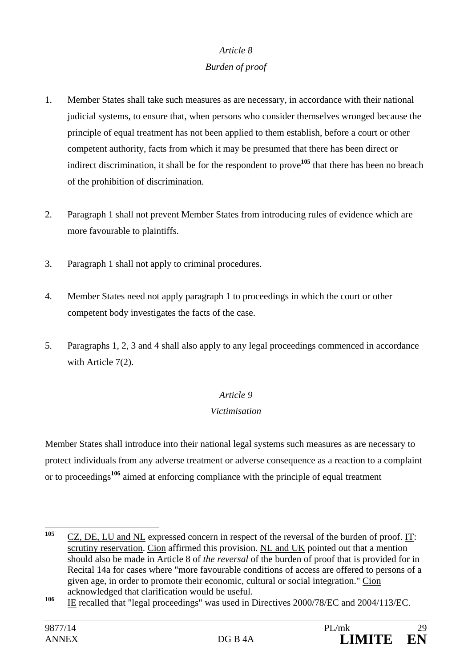### *Article 8*

### *Burden of proof*

- 1. Member States shall take such measures as are necessary, in accordance with their national judicial systems, to ensure that, when persons who consider themselves wronged because the principle of equal treatment has not been applied to them establish, before a court or other competent authority, facts from which it may be presumed that there has been direct or indirect discrimination, it shall be for the respondent to prove**<sup>105</sup>** that there has been no breach of the prohibition of discrimination.
- 2. Paragraph 1 shall not prevent Member States from introducing rules of evidence which are more favourable to plaintiffs.
- 3. Paragraph 1 shall not apply to criminal procedures.
- 4. Member States need not apply paragraph 1 to proceedings in which the court or other competent body investigates the facts of the case.
- 5. Paragraphs 1, 2, 3 and 4 shall also apply to any legal proceedings commenced in accordance with Article 7(2).

### *Article 9*

### *Victimisation*

Member States shall introduce into their national legal systems such measures as are necessary to protect individuals from any adverse treatment or adverse consequence as a reaction to a complaint or to proceedings**<sup>106</sup>** aimed at enforcing compliance with the principle of equal treatment

<sup>105</sup> **<sup>105</sup>** CZ, DE, LU and NL expressed concern in respect of the reversal of the burden of proof. IT: scrutiny reservation. Cion affirmed this provision. NL and UK pointed out that a mention should also be made in Article 8 of *the reversal* of the burden of proof that is provided for in Recital 14a for cases where "more favourable conditions of access are offered to persons of a given age, in order to promote their economic, cultural or social integration." Cion acknowledged that clarification would be useful.

**<sup>106</sup>** IE recalled that "legal proceedings" was used in Directives 2000/78/EC and 2004/113/EC.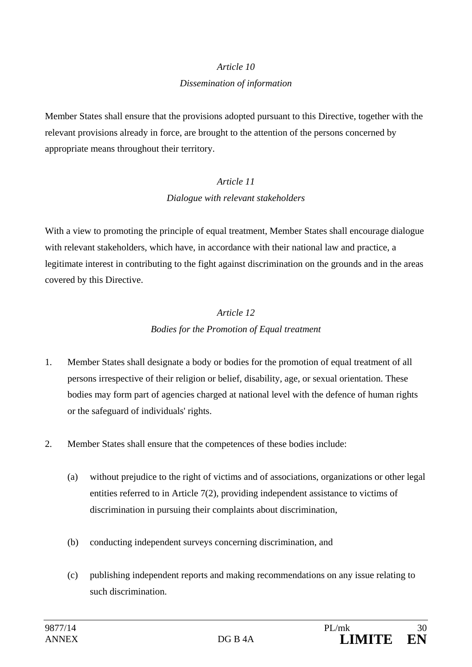# *Article 10*

#### *Dissemination of information*

Member States shall ensure that the provisions adopted pursuant to this Directive, together with the relevant provisions already in force, are brought to the attention of the persons concerned by appropriate means throughout their territory.

# *Article 11 Dialogue with relevant stakeholders*

With a view to promoting the principle of equal treatment, Member States shall encourage dialogue with relevant stakeholders, which have, in accordance with their national law and practice, a legitimate interest in contributing to the fight against discrimination on the grounds and in the areas covered by this Directive.

# *Article 12 Bodies for the Promotion of Equal treatment*

- 1. Member States shall designate a body or bodies for the promotion of equal treatment of all persons irrespective of their religion or belief, disability, age, or sexual orientation. These bodies may form part of agencies charged at national level with the defence of human rights or the safeguard of individuals' rights.
- 2. Member States shall ensure that the competences of these bodies include:
	- (a) without prejudice to the right of victims and of associations, organizations or other legal entities referred to in Article 7(2), providing independent assistance to victims of discrimination in pursuing their complaints about discrimination,
	- (b) conducting independent surveys concerning discrimination, and
	- (c) publishing independent reports and making recommendations on any issue relating to such discrimination.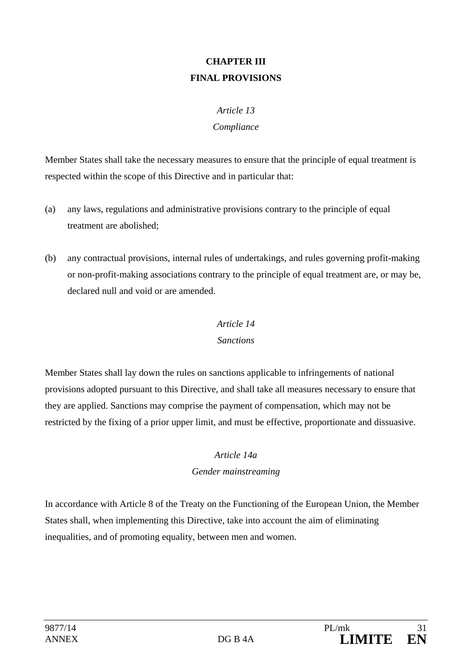# **CHAPTER III FINAL PROVISIONS**

## *Article 13 Compliance*

Member States shall take the necessary measures to ensure that the principle of equal treatment is respected within the scope of this Directive and in particular that:

- (a) any laws, regulations and administrative provisions contrary to the principle of equal treatment are abolished;
- (b) any contractual provisions, internal rules of undertakings, and rules governing profit-making or non-profit-making associations contrary to the principle of equal treatment are, or may be, declared null and void or are amended.

### *Article 14*

#### *Sanctions*

Member States shall lay down the rules on sanctions applicable to infringements of national provisions adopted pursuant to this Directive, and shall take all measures necessary to ensure that they are applied. Sanctions may comprise the payment of compensation, which may not be restricted by the fixing of a prior upper limit, and must be effective, proportionate and dissuasive.

### *Article 14a*

### *Gender mainstreaming*

In accordance with Article 8 of the Treaty on the Functioning of the European Union, the Member States shall, when implementing this Directive, take into account the aim of eliminating inequalities, and of promoting equality, between men and women.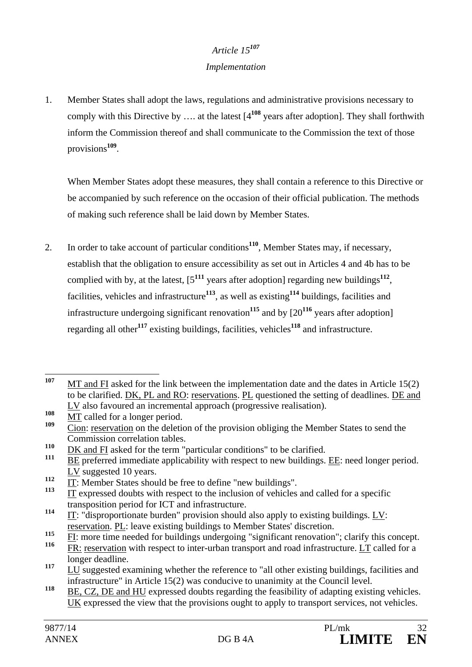# *Article 15<sup>107</sup>*

### *Implementation*

1. Member States shall adopt the laws, regulations and administrative provisions necessary to comply with this Directive by …. at the latest [4**<sup>108</sup>** years after adoption]. They shall forthwith inform the Commission thereof and shall communicate to the Commission the text of those provisions**<sup>109</sup>**.

When Member States adopt these measures, they shall contain a reference to this Directive or be accompanied by such reference on the occasion of their official publication. The methods of making such reference shall be laid down by Member States.

2. In order to take account of particular conditions**<sup>110</sup>**, Member States may, if necessary, establish that the obligation to ensure accessibility as set out in Articles 4 and 4b has to be complied with by, at the latest,  $[5^{111}$  years after adoption] regarding new buildings<sup>112</sup>, facilities, vehicles and infrastructure**<sup>113</sup>**, as well as existing**<sup>114</sup>** buildings, facilities and infrastructure undergoing significant renovation<sup>115</sup> and by  $[20^{116}$  years after adoption] regarding all other**<sup>117</sup>** existing buildings, facilities, vehicles**<sup>118</sup>** and infrastructure.

<sup>107</sup> **<sup>107</sup>** MT and FI asked for the link between the implementation date and the dates in Article 15(2) to be clarified. DK, PL and RO: reservations. PL questioned the setting of deadlines. DE and LV also favoured an incremental approach (progressive realisation).

 $\frac{108}{109}$   $\frac{MT}{ST}$  called for a longer period.

Cion: reservation on the deletion of the provision obliging the Member States to send the Commission correlation tables.

<sup>&</sup>lt;sup>110</sup> DK and FI asked for the term "particular conditions" to be clarified.

**<sup>111</sup>** BE preferred immediate applicability with respect to new buildings. EE: need longer period. LV suggested 10 years.

 $\frac{112}{113}$  IT: Member States should be free to define "new buildings".

**<sup>113</sup>** IT expressed doubts with respect to the inclusion of vehicles and called for a specific transposition period for ICT and infrastructure.

**<sup>114</sup>** IT: "disproportionate burden" provision should also apply to existing buildings. LV: reservation. PL: leave existing buildings to Member States' discretion.

<sup>&</sup>lt;sup>115</sup> FI: more time needed for buildings undergoing "significant renovation"; clarify this concept.<br><sup>116</sup> FD: measuration with respect to inter when transport and good infractmeture. I T called for a

FR: reservation with respect to inter-urban transport and road infrastructure. LT called for a longer deadline.

<sup>&</sup>lt;sup>117</sup> LU suggested examining whether the reference to "all other existing buildings, facilities and infrastructure" in Article 15(2) was conducive to unanimity at the Council level.

<sup>118</sup> BE, CZ, DE and HU expressed doubts regarding the feasibility of adapting existing vehicles. UK expressed the view that the provisions ought to apply to transport services, not vehicles.